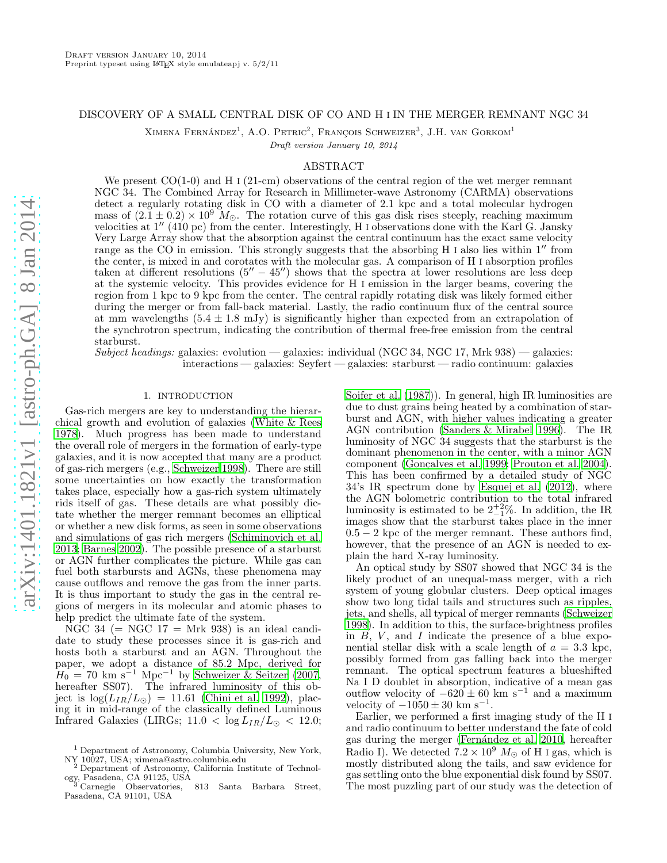## DISCOVERY OF A SMALL CENTRAL DISK OF CO AND H I IN THE MERGER REMNANT NGC 34

XIMENA FERNÁNDEZ<sup>1</sup>, A.O. PETRIC<sup>2</sup>, FRANÇOIS SCHWEIZER<sup>3</sup>, J.H. VAN GORKOM<sup>1</sup>

Draft version January 10, 2014

# ABSTRACT

We present  $CO(1-0)$  and H I (21-cm) observations of the central region of the wet merger remnant NGC 34. The Combined Array for Research in Millimeter-wave Astronomy (CARMA) observations detect a regularly rotating disk in CO with a diameter of 2.1 kpc and a total molecular hydrogen mass of  $(2.1 \pm 0.2) \times 10^9$  M<sub>☉</sub>. The rotation curve of this gas disk rises steeply, reaching maximum velocities at 1′′ (410 pc) from the center. Interestingly, H <sup>I</sup> observations done with the Karl G. Jansky Very Large Array show that the absorption against the central continuum has the exact same velocity range as the CO in emission. This strongly suggests that the absorbing H I also lies within 1'' from the center, is mixed in and corotates with the molecular gas. A comparison of H I absorption profiles taken at different resolutions  $(5'' - 45'')$  shows that the spectra at lower resolutions are less deep at the systemic velocity. This provides evidence for H I emission in the larger beams, covering the region from 1 kpc to 9 kpc from the center. The central rapidly rotating disk was likely formed either during the merger or from fall-back material. Lastly, the radio continuum flux of the central source at mm wavelengths  $(5.4 \pm 1.8 \text{ mJy})$  is significantly higher than expected from an extrapolation of the synchrotron spectrum, indicating the contribution of thermal free-free emission from the central starburst.

Subject headings: galaxies: evolution — galaxies: individual (NGC 34, NGC 17, Mrk 938) — galaxies: interactions — galaxies: Seyfert — galaxies: starburst — radio continuum: galaxies

## 1. INTRODUCTION

Gas-rich mergers are key to understanding the hierarchical growth and evolution of galaxies [\(White & Rees](#page-5-0) [1978\)](#page-5-0). Much progress has been made to understand the overall role of mergers in the formation of early-type galaxies, and it is now accepted that many are a product of gas-rich mergers (e.g., [Schweizer 1998\)](#page-5-1). There are still some uncertainties on how exactly the transformation takes place, especially how a gas-rich system ultimately rids itself of gas. These details are what possibly dictate whether the merger remnant becomes an elliptical or whether a new disk forms, as seen in some observations and simulations of gas rich mergers [\(Schiminovich et al.](#page-5-2) [2013;](#page-5-2) [Barnes 2002](#page-5-3)). The possible presence of a starburst or AGN further complicates the picture. While gas can fuel both starbursts and AGNs, these phenomena may cause outflows and remove the gas from the inner parts. It is thus important to study the gas in the central regions of mergers in its molecular and atomic phases to help predict the ultimate fate of the system.

NGC 34 ( $=$  NGC 17  $=$  Mrk 938) is an ideal candidate to study these processes since it is gas-rich and hosts both a starburst and an AGN. Throughout the paper, we adopt a distance of 85.2 Mpc, derived for  $H_0 = 70$  km s<sup>-1</sup> Mpc<sup>-1</sup> by [Schweizer & Seitzer \(2007,](#page-5-4) hereafter SS07). The infrared luminosity of this object is  $\log(L_{IR}/L_{\odot}) = 11.61$  [\(Chini et al. 1992\)](#page-5-5), placing it in mid-range of the classically defined Luminous Infrared Galaxies (LIRGs;  $11.0 < \log L_{IR}/L_{\odot} < 12.0$ ;

[Soifer et al. \(1987\)](#page-5-6)). In general, high IR luminosities are due to dust grains being heated by a combination of starburst and AGN, with higher values indicating a greater AGN contribution [\(Sanders & Mirabel 1996\)](#page-5-7). The IR luminosity of NGC 34 suggests that the starburst is the dominant phenomenon in the center, with a minor AGN component (Gonçalves et al. 1999; [Prouton et al. 2004](#page-5-9)). This has been confirmed by a detailed study of NGC 34's IR spectrum done by [Esquej et al. \(2012\)](#page-5-10), where the AGN bolometric contribution to the total infrared luminosity is estimated to be  $2^{+2}_{-1}\%$ . In addition, the IR images show that the starburst takes place in the inner  $0.5 - 2$  kpc of the merger remnant. These authors find, however, that the presence of an AGN is needed to explain the hard X-ray luminosity.

An optical study by SS07 showed that NGC 34 is the likely product of an unequal-mass merger, with a rich system of young globular clusters. Deep optical images show two long tidal tails and structures such as ripples, jets, and shells, all typical of merger remnants [\(Schweizer](#page-5-1) [1998\)](#page-5-1). In addition to this, the surface-brightness profiles in  $B, V,$  and I indicate the presence of a blue exponential stellar disk with a scale length of  $a = 3.3$  kpc, possibly formed from gas falling back into the merger remnant. The optical spectrum features a blueshifted Na I D doublet in absorption, indicative of a mean gas outflow velocity of  $-620 \pm 60$  km s<sup>-1</sup> and a maximum velocity of  $-1050 \pm 30$  km s<sup>-1</sup>.

Earlier, we performed a first imaging study of the H I and radio continuum to better understand the fate of cold gas during the merger (Fernández et al. 2010, hereafter Radio I). We detected  $7.2 \times 10^9$   $M_{\odot}$  of H I gas, which is mostly distributed along the tails, and saw evidence for gas settling onto the blue exponential disk found by SS07. The most puzzling part of our study was the detection of

<sup>1</sup> Department of Astronomy, Columbia University, New York, NY 10027, USA; ximena@astro.columbia.edu<br>
<sup>2</sup> Department of Arts

<sup>2</sup> Department of Astronomy, California Institute of Technology, Pasadena, CA 91125, USA

<sup>813</sup> Santa Barbara Street, Pasadena, CA 91101, USA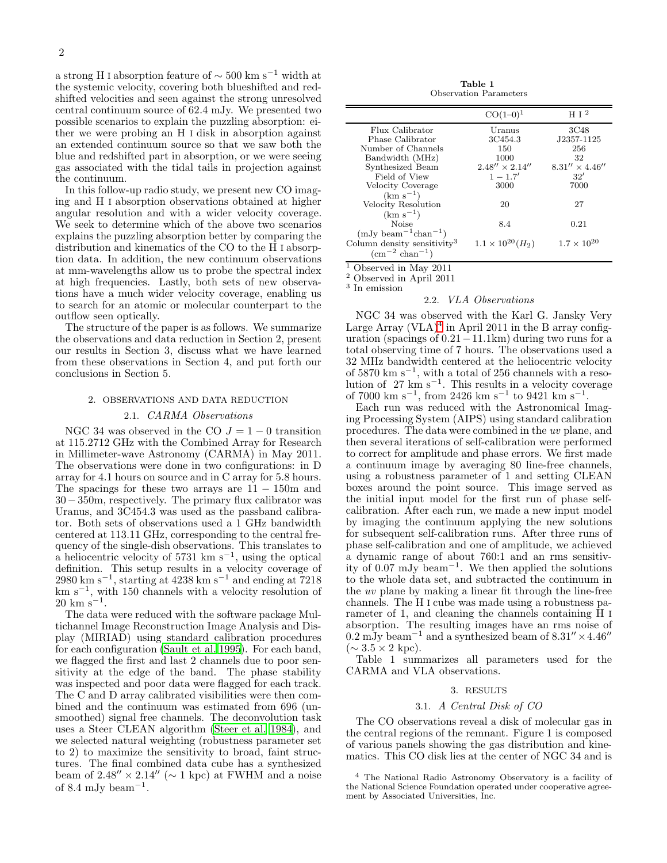a strong H I absorption feature of  $\sim$  500 km s<sup>-1</sup> width at the systemic velocity, covering both blueshifted and redshifted velocities and seen against the strong unresolved central continuum source of 62.4 mJy. We presented two possible scenarios to explain the puzzling absorption: either we were probing an H I disk in absorption against an extended continuum source so that we saw both the blue and redshifted part in absorption, or we were seeing gas associated with the tidal tails in projection against the continuum.

In this follow-up radio study, we present new CO imaging and H I absorption observations obtained at higher angular resolution and with a wider velocity coverage. We seek to determine which of the above two scenarios explains the puzzling absorption better by comparing the distribution and kinematics of the CO to the H I absorption data. In addition, the new continuum observations at mm-wavelengths allow us to probe the spectral index at high frequencies. Lastly, both sets of new observations have a much wider velocity coverage, enabling us to search for an atomic or molecular counterpart to the outflow seen optically.

The structure of the paper is as follows. We summarize the observations and data reduction in Section 2, present our results in Section 3, discuss what we have learned from these observations in Section 4, and put forth our conclusions in Section 5.

#### 2. OBSERVATIONS AND DATA REDUCTION

#### 2.1. CARMA Observations

NGC 34 was observed in the CO  $J = 1 - 0$  transition at 115.2712 GHz with the Combined Array for Research in Millimeter-wave Astronomy (CARMA) in May 2011. The observations were done in two configurations: in D array for 4.1 hours on source and in C array for 5.8 hours. The spacings for these two arrays are  $11 - 150$ m and 30−350m, respectively. The primary flux calibrator was Uranus, and 3C454.3 was used as the passband calibrator. Both sets of observations used a 1 GHz bandwidth centered at 113.11 GHz, corresponding to the central frequency of the single-dish observations. This translates to a heliocentric velocity of 5731 km  $s^{-1}$ , using the optical definition. This setup results in a velocity coverage of 2980 km s<sup>−</sup><sup>1</sup> , starting at 4238 km s<sup>−</sup><sup>1</sup> and ending at 7218 km s<sup>−</sup><sup>1</sup> , with 150 channels with a velocity resolution of  $20 \text{ km s}^{-1}$ .

The data were reduced with the software package Multichannel Image Reconstruction Image Analysis and Display (MIRIAD) using standard calibration procedures for each configuration [\(Sault et al. 1995](#page-5-12)). For each band, we flagged the first and last 2 channels due to poor sensitivity at the edge of the band. The phase stability was inspected and poor data were flagged for each track. The C and D array calibrated visibilities were then combined and the continuum was estimated from 696 (unsmoothed) signal free channels. The deconvolution task uses a Steer CLEAN algorithm [\(Steer et al. 1984](#page-5-13)), and we selected natural weighting (robustness parameter set to 2) to maximize the sensitivity to broad, faint structures. The final combined data cube has a synthesized beam of  $2.48'' \times 2.14''$  ( $\sim 1$  kpc) at FWHM and a noise of 8.4 mJy beam<sup>-1</sup>.

Table 1 Observation Parameters

|                                         | $CO(1-0)^1$                            | H I <sup>2</sup>       |
|-----------------------------------------|----------------------------------------|------------------------|
| Flux Calibrator                         | Uranus                                 | 3C48                   |
| Phase Calibrator                        | 3C454.3                                | J2357-1125             |
| Number of Channels                      | 150                                    | 256                    |
| Bandwidth (MHz)                         | 1000                                   | 32                     |
| Synthesized Beam                        | $2.48'' \times 2.14''$                 | $8.31'' \times 4.46''$ |
| Field of View                           | $1 - 1.7'$                             | 32'                    |
| Velocity Coverage                       | 3000                                   | 7000                   |
| $(km s^{-1})$                           |                                        |                        |
| Velocity Resolution                     | 20                                     | 27                     |
| $(km s^{-1})$                           |                                        |                        |
| Noise                                   | 8.4                                    | 0.21                   |
| $(mJy beam^{-1}chan^{-1})$              |                                        |                        |
| Column density sensitivity <sup>3</sup> | $1.1 \times 10^{20}$ (H <sub>2</sub> ) | $1.7 \times 10^{20}$   |
| $\rm (cm^{-2}~chan^{-1})$               |                                        |                        |
|                                         |                                        |                        |

<sup>1</sup> Observed in May 2011

<sup>2</sup> Observed in April 2011

3 In emission

## 2.2. VLA Observations

NGC 34 was observed with the Karl G. Jansky Very Large Array  $(VLA)^4$  $(VLA)^4$  in April 2011 in the B array configuration (spacings of  $0.21-11.1$ km) during two runs for a total observing time of 7 hours. The observations used a 32 MHz bandwidth centered at the heliocentric velocity of 5870 km s<sup>-1</sup>, with a total of 256 channels with a resolution of 27 km s<sup>−</sup><sup>1</sup> . This results in a velocity coverage of 7000 km s<sup>-1</sup>, from 2426 km s<sup>-1</sup> to 9421 km s<sup>-1</sup>.

Each run was reduced with the Astronomical Imaging Processing System (AIPS) using standard calibration procedures. The data were combined in the uv plane, and then several iterations of self-calibration were performed to correct for amplitude and phase errors. We first made a continuum image by averaging 80 line-free channels, using a robustness parameter of 1 and setting CLEAN boxes around the point source. This image served as the initial input model for the first run of phase selfcalibration. After each run, we made a new input model by imaging the continuum applying the new solutions for subsequent self-calibration runs. After three runs of phase self-calibration and one of amplitude, we achieved a dynamic range of about 760:1 and an rms sensitivity of 0.07 mJy beam<sup>−</sup><sup>1</sup> . We then applied the solutions to the whole data set, and subtracted the continuum in the uv plane by making a linear fit through the line-free channels. The H I cube was made using a robustness parameter of 1, and cleaning the channels containing H I absorption. The resulting images have an rms noise of  $0.2 \text{ mJy beam}^{-1}$  and a synthesized beam of  $8.31'' \times 4.46''$  $(\sim 3.5 \times 2 \text{ kpc}).$ 

Table 1 summarizes all parameters used for the CARMA and VLA observations.

## 3. RESULTS

## 3.1. A Central Disk of CO

The CO observations reveal a disk of molecular gas in the central regions of the remnant. Figure 1 is composed of various panels showing the gas distribution and kinematics. This CO disk lies at the center of NGC 34 and is

<span id="page-1-0"></span><sup>4</sup> The National Radio Astronomy Observatory is a facility of the National Science Foundation operated under cooperative agreement by Associated Universities, Inc.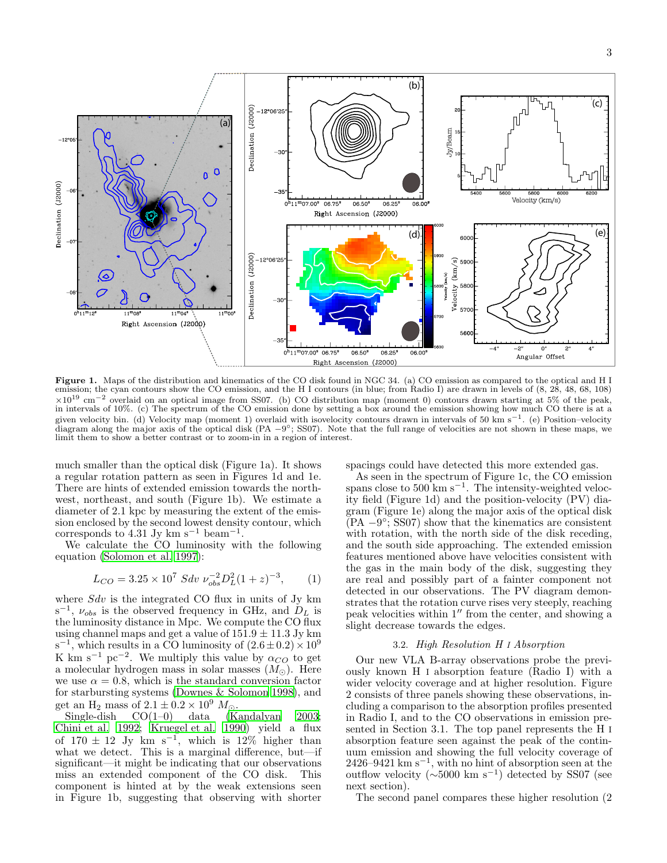

Figure 1. Maps of the distribution and kinematics of the CO disk found in NGC 34. (a) CO emission as compared to the optical and H I emission; the cyan contours show the CO emission, and the H I contours (in blue; from Radio I) are drawn in levels of (8, 28, 48, 68, 108)  $\times10^{19}$  cm<sup>-2</sup> overlaid on an optical image from SS07. (b) CO distribution map (moment 0) contours drawn starting at 5% of the peak, in intervals of 10%. (c) The spectrum of the CO emission done by setting a box around the emission showing how much CO there is at a given velocity bin. (d) Velocity map (moment 1) overlaid with isovelocity contours drawn in intervals of 50 km s<sup>-1</sup>. (e) Position–velocity diagram along the major axis of the optical disk (PA  $-9^{\circ}$ ; SS07). Note that the full range of velocities are not shown in these maps, we diagram along the major axis of the optical disk (PA  $-9^{\circ}$ ; SS07). Note that limit them to show a better contrast or to zoom-in in a region of interest.

much smaller than the optical disk (Figure 1a). It shows a regular rotation pattern as seen in Figures 1d and 1e. There are hints of extended emission towards the northwest, northeast, and south (Figure 1b). We estimate a diameter of 2.1 kpc by measuring the extent of the emission enclosed by the second lowest density contour, which corresponds to 4.31 Jy km s<sup>-1</sup> beam<sup>-1</sup>.

We calculate the CO luminosity with the following equation [\(Solomon et al. 1997](#page-5-14)):

$$
L_{CO} = 3.25 \times 10^7 \, Sdv \, \nu_{obs}^{-2} D_L^2 (1+z)^{-3}, \qquad (1)
$$

where  $Sdv$  is the integrated CO flux in units of Jy km  $s^{-1}$ ,  $\nu_{obs}$  is the observed frequency in GHz, and  $D_L$  is the luminosity distance in Mpc. We compute the CO flux using channel maps and get a value of  $151.9 \pm 11.3$  Jy km s<sup>-1</sup>, which results in a CO luminosity of  $(2.6 \pm 0.2) \times 10^9$ K km s<sup>-1</sup> pc<sup>-2</sup>. We multiply this value by  $\alpha_{CO}$  to get a molecular hydrogen mass in solar masses  $(M<sub>©</sub>)$ . Here we use  $\alpha = 0.8$ , which is the standard conversion factor for starbursting systems [\(Downes & Solomon 1998\)](#page-5-15), and get an H<sub>2</sub> mass of  $2.1 \pm 0.2 \times 10^9$  M<sub>☉</sub>.<br>Single-dish CO(1–0) data (K<sub>i</sub>

 $(Kandalyan 2003;$ [Chini et al. 1992;](#page-5-5) [Kruegel et al. 1990\)](#page-5-17) yield a flux of  $170 \pm 12$  Jy km s<sup>-1</sup>, which is  $12\%$  higher than what we detect. This is a marginal difference, but—if significant—it might be indicating that our observations miss an extended component of the CO disk. This component is hinted at by the weak extensions seen in Figure 1b, suggesting that observing with shorter

spacings could have detected this more extended gas.

As seen in the spectrum of Figure 1c, the CO emission spans close to  $500 \text{ km s}^{-1}$ . The intensity-weighted velocity field (Figure 1d) and the position-velocity (PV) diagram (Figure 1e) along the major axis of the optical disk  $\overrightarrow{P}$ (PA  $-\overrightarrow{9}$ °; SS07) show that the kinematics are consistent with rotation, with the north side of the disk receding, and the south side approaching. The extended emission features mentioned above have velocities consistent with the gas in the main body of the disk, suggesting they are real and possibly part of a fainter component not detected in our observations. The PV diagram demonstrates that the rotation curve rises very steeply, reaching peak velocities within 1′′ from the center, and showing a slight decrease towards the edges.

# 3.2. High Resolution H I Absorption

Our new VLA B-array observations probe the previously known H I absorption feature (Radio I) with a wider velocity coverage and at higher resolution. Figure 2 consists of three panels showing these observations, including a comparison to the absorption profiles presented in Radio I, and to the CO observations in emission presented in Section 3.1. The top panel represents the H I absorption feature seen against the peak of the continuum emission and showing the full velocity coverage of 2426–9421 km s<sup>-1</sup>, with no hint of absorption seen at the outflow velocity (∼5000 km s<sup>−</sup><sup>1</sup> ) detected by SS07 (see next section).

The second panel compares these higher resolution (2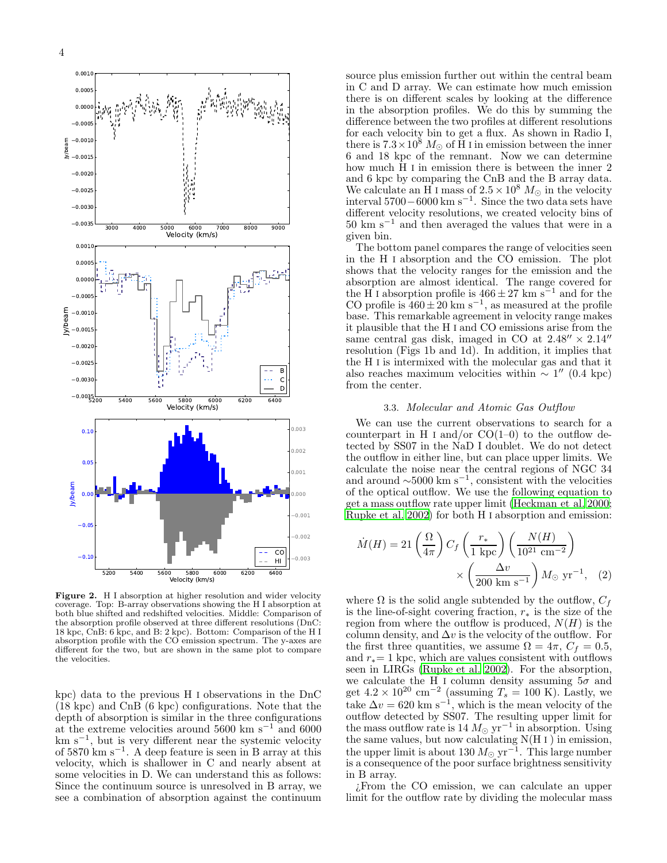

Figure 2. H I absorption at higher resolution and wider velocity coverage. Top: B-array observations showing the H I absorption at both blue shifted and redshifted velocities. Middle: Comparison of the absorption profile observed at three different resolutions (DnC: 18 kpc, CnB: 6 kpc, and B: 2 kpc). Bottom: Comparison of the H I absorption profile with the CO emission spectrum. The y-axes are different for the two, but are shown in the same plot to compare the velocities.

kpc) data to the previous H I observations in the DnC (18 kpc) and CnB (6 kpc) configurations. Note that the depth of absorption is similar in the three configurations at the extreme velocities around 5600 km s<sup> $-1$ </sup> and 6000 km s<sup>−</sup><sup>1</sup> , but is very different near the systemic velocity of 5870 km s<sup>−</sup><sup>1</sup> . A deep feature is seen in B array at this velocity, which is shallower in C and nearly absent at some velocities in D. We can understand this as follows: Since the continuum source is unresolved in B array, we see a combination of absorption against the continuum source plus emission further out within the central beam in C and D array. We can estimate how much emission there is on different scales by looking at the difference in the absorption profiles. We do this by summing the difference between the two profiles at different resolutions for each velocity bin to get a flux. As shown in Radio I, there is  $7.3 \times 10^8$  M<sub>☉</sub> of H I in emission between the inner 6 and 18 kpc of the remnant. Now we can determine how much H I in emission there is between the inner 2 and 6 kpc by comparing the CnB and the B array data. We calculate an H I mass of  $2.5 \times 10^8$  M<sub>o</sub> in the velocity interval 5700 – 6000 km s<sup>-1</sup>. Since the two data sets have different velocity resolutions, we created velocity bins of  $50~{\rm km~s^{-1}}$  and then averaged the values that were in a given bin.

The bottom panel compares the range of velocities seen in the H I absorption and the CO emission. The plot shows that the velocity ranges for the emission and the absorption are almost identical. The range covered for the H I absorption profile is  $466 \pm 27$  km s<sup> $-1$ </sup> and for the CO profile is  $460 \pm 20$  km s<sup>-1</sup>, as measured at the profile base. This remarkable agreement in velocity range makes it plausible that the H I and CO emissions arise from the same central gas disk, imaged in CO at  $2.48'' \times 2.14''$ resolution (Figs 1b and 1d). In addition, it implies that the H I is intermixed with the molecular gas and that it also reaches maximum velocities within  $\sim 1''$  (0.4 kpc) from the center.

### 3.3. Molecular and Atomic Gas Outflow

We can use the current observations to search for a counterpart in H I and/or  $CO(1-0)$  to the outflow detected by SS07 in the NaD I doublet. We do not detect the outflow in either line, but can place upper limits. We calculate the noise near the central regions of NGC 34 and around  $\sim 5000 \text{ km s}^{-1}$ , consistent with the velocities of the optical outflow. We use the following equation to get a mass outflow rate upper limit [\(Heckman et al. 2000](#page-5-18); [Rupke et al. 2002\)](#page-5-19) for both H I absorption and emission:

$$
\dot{M}(H) = 21 \left(\frac{\Omega}{4\pi}\right) C_f \left(\frac{r_*}{1 \text{ kpc}}\right) \left(\frac{N(H)}{10^{21} \text{ cm}^{-2}}\right) \times \left(\frac{\Delta v}{200 \text{ km s}^{-1}}\right) M_{\odot} \text{ yr}^{-1}, \quad (2)
$$

where  $\Omega$  is the solid angle subtended by the outflow,  $C_f$ is the line-of-sight covering fraction,  $r_*$  is the size of the region from where the outflow is produced,  $N(H)$  is the column density, and  $\Delta v$  is the velocity of the outflow. For the first three quantities, we assume  $\Omega = 4\pi$ ,  $C_f = 0.5$ , and  $r_*$  = 1 kpc, which are values consistent with outflows seen in LIRGs [\(Rupke et al. 2002\)](#page-5-19). For the absorption, we calculate the H I column density assuming  $5\sigma$  and get  $4.2 \times 10^{20}$  cm<sup>-2</sup> (assuming  $T_s = 100$  K). Lastly, we take  $\Delta v = 620 \text{ km s}^{-1}$ , which is the mean velocity of the outflow detected by SS07. The resulting upper limit for the mass outflow rate is 14  $M_{\odot}$  yr<sup>-1</sup> in absorption. Using the same values, but now calculating  $N(H I)$  in emission, the upper limit is about 130  $M_{\odot}$  yr<sup>-1</sup>. This large number is a consequence of the poor surface brightness sensitivity in B array.

¿From the CO emission, we can calculate an upper limit for the outflow rate by dividing the molecular mass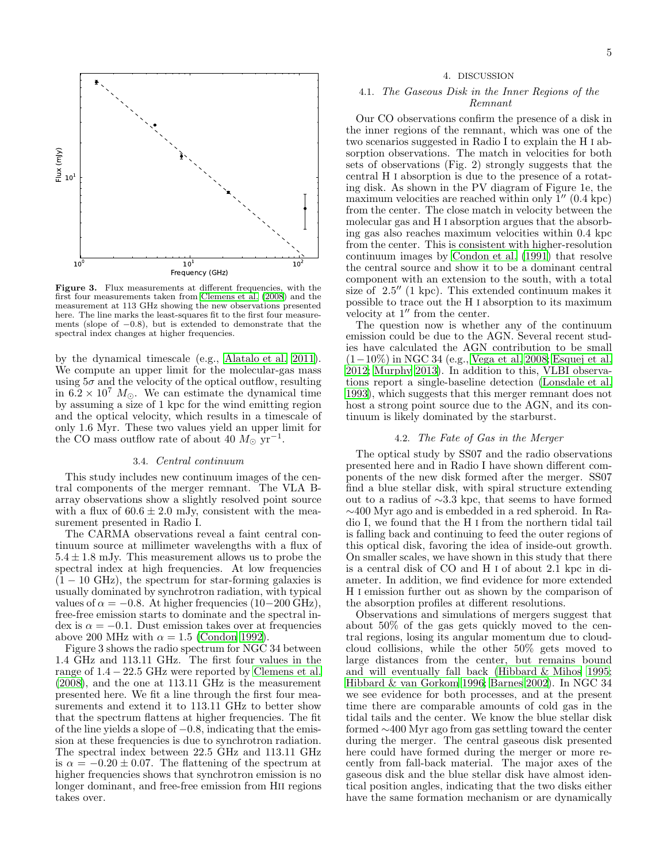

Figure 3. Flux measurements at different frequencies, with the first four measurements taken from [Clemens et al. \(2008](#page-5-20)) and the measurement at 113 GHz showing the new observations presented here. The line marks the least-squares fit to the first four measurements (slope of −0.8), but is extended to demonstrate that the spectral index changes at higher frequencies.

by the dynamical timescale (e.g., [Alatalo et al. 2011\)](#page-5-21). We compute an upper limit for the molecular-gas mass using  $5\sigma$  and the velocity of the optical outflow, resulting in  $6.2 \times 10^7$  M<sub>☉</sub>. We can estimate the dynamical time by assuming a size of 1 kpc for the wind emitting region and the optical velocity, which results in a timescale of only 1.6 Myr. These two values yield an upper limit for the CO mass outflow rate of about 40  $M_{\odot}$  yr<sup>-1</sup>.

## 3.4. Central continuum

This study includes new continuum images of the central components of the merger remnant. The VLA Barray observations show a slightly resolved point source with a flux of  $60.6 \pm 2.0$  mJy, consistent with the measurement presented in Radio I.

The CARMA observations reveal a faint central continuum source at millimeter wavelengths with a flux of  $5.4 \pm 1.8$  mJy. This measurement allows us to probe the spectral index at high frequencies. At low frequencies  $(1 - 10$  GHz), the spectrum for star-forming galaxies is usually dominated by synchrotron radiation, with typical values of  $\alpha = -0.8$ . At higher frequencies (10−200 GHz), free-free emission starts to dominate and the spectral index is  $\alpha = -0.1$ . Dust emission takes over at frequencies above 200 MHz with  $\alpha = 1.5$  [\(Condon 1992\)](#page-5-22).

Figure 3 shows the radio spectrum for NGC 34 between 1.4 GHz and 113.11 GHz. The first four values in the range of  $1.4 - 22.5$  GHz were reported by [Clemens et al.](#page-5-20) [\(2008\)](#page-5-20), and the one at 113.11 GHz is the measurement presented here. We fit a line through the first four measurements and extend it to 113.11 GHz to better show that the spectrum flattens at higher frequencies. The fit of the line yields a slope of −0.8, indicating that the emission at these frequencies is due to synchrotron radiation. The spectral index between 22.5 GHz and 113.11 GHz is  $\alpha = -0.20 \pm 0.07$ . The flattening of the spectrum at higher frequencies shows that synchrotron emission is no longer dominant, and free-free emission from HII regions takes over.

#### 4. DISCUSSION

## 4.1. The Gaseous Disk in the Inner Regions of the Remnant

Our CO observations confirm the presence of a disk in the inner regions of the remnant, which was one of the two scenarios suggested in Radio I to explain the H I absorption observations. The match in velocities for both sets of observations (Fig. 2) strongly suggests that the central H I absorption is due to the presence of a rotating disk. As shown in the PV diagram of Figure 1e, the maximum velocities are reached within only  $1''$  (0.4 kpc) from the center. The close match in velocity between the molecular gas and H I absorption argues that the absorbing gas also reaches maximum velocities within 0.4 kpc from the center. This is consistent with higher-resolution continuum images by [Condon et al. \(1991\)](#page-5-23) that resolve the central source and show it to be a dominant central component with an extension to the south, with a total size of 2.5′′ (1 kpc). This extended continuum makes it possible to trace out the H I absorption to its maximum velocity at 1′′ from the center.

The question now is whether any of the continuum emission could be due to the AGN. Several recent studies have calculated the AGN contribution to be small (1−10%) in NGC 34 (e.g., [Vega et al. 2008](#page-5-24); [Esquej et al.](#page-5-10) [2012;](#page-5-10) [Murphy 2013\)](#page-5-25). In addition to this, VLBI observations report a single-baseline detection [\(Lonsdale et al.](#page-5-26) [1993\)](#page-5-26), which suggests that this merger remnant does not host a strong point source due to the AGN, and its continuum is likely dominated by the starburst.

### 4.2. The Fate of Gas in the Merger

The optical study by SS07 and the radio observations presented here and in Radio I have shown different components of the new disk formed after the merger. SS07 find a blue stellar disk, with spiral structure extending out to a radius of ∼3.3 kpc, that seems to have formed ∼400 Myr ago and is embedded in a red spheroid. In Radio I, we found that the H I from the northern tidal tail is falling back and continuing to feed the outer regions of this optical disk, favoring the idea of inside-out growth. On smaller scales, we have shown in this study that there is a central disk of CO and H I of about 2.1 kpc in diameter. In addition, we find evidence for more extended H I emission further out as shown by the comparison of the absorption profiles at different resolutions.

Observations and simulations of mergers suggest that about 50% of the gas gets quickly moved to the central regions, losing its angular momentum due to cloudcloud collisions, while the other 50% gets moved to large distances from the center, but remains bound and will eventually fall back [\(Hibbard & Mihos 1995](#page-5-27); [Hibbard & van Gorkom 1996](#page-5-28); [Barnes 2002](#page-5-3)). In NGC 34 we see evidence for both processes, and at the present time there are comparable amounts of cold gas in the tidal tails and the center. We know the blue stellar disk formed ∼400 Myr ago from gas settling toward the center during the merger. The central gaseous disk presented here could have formed during the merger or more recently from fall-back material. The major axes of the gaseous disk and the blue stellar disk have almost identical position angles, indicating that the two disks either have the same formation mechanism or are dynamically